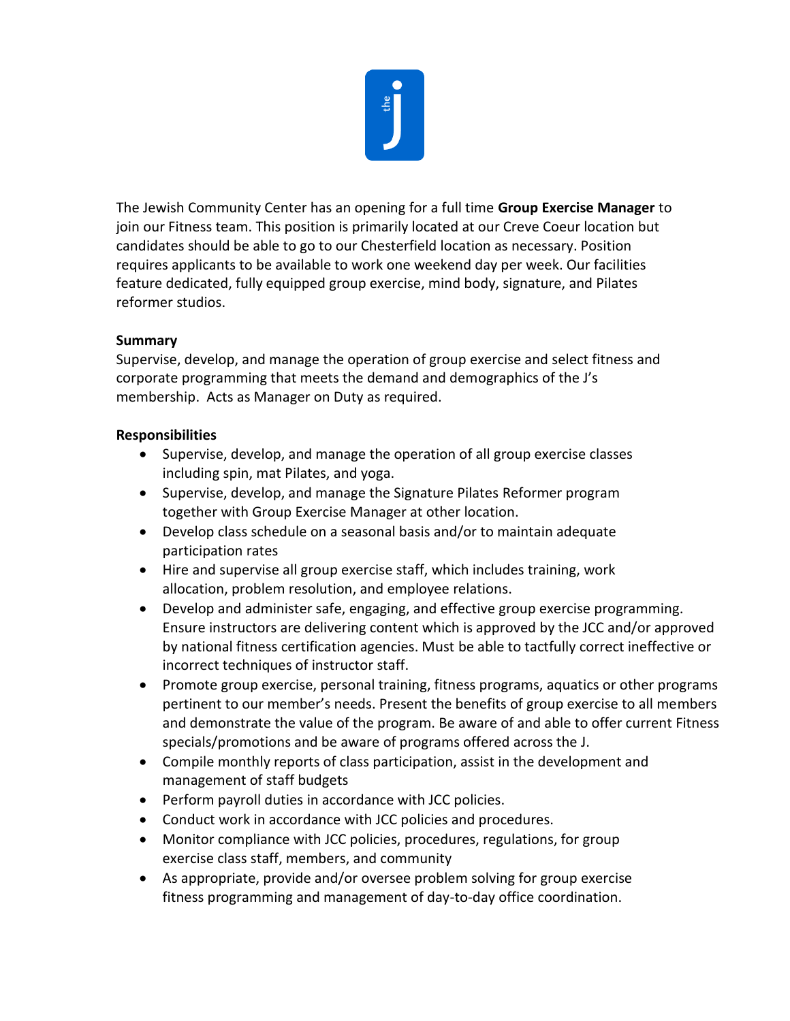

The Jewish Community Center has an opening for a full time **Group Exercise Manager** to join our Fitness team. This position is primarily located at our Creve Coeur location but candidates should be able to go to our Chesterfield location as necessary. Position requires applicants to be available to work one weekend day per week. Our facilities feature dedicated, fully equipped group exercise, mind body, signature, and Pilates reformer studios.

## **Summary**

Supervise, develop, and manage the operation of group exercise and select fitness and corporate programming that meets the demand and demographics of the J's membership. Acts as Manager on Duty as required.

## **Responsibilities**

- Supervise, develop, and manage the operation of all group exercise classes including spin, mat Pilates, and yoga.
- Supervise, develop, and manage the Signature Pilates Reformer program together with Group Exercise Manager at other location.
- Develop class schedule on a seasonal basis and/or to maintain adequate participation rates
- Hire and supervise all group exercise staff, which includes training, work allocation, problem resolution, and employee relations.
- Develop and administer safe, engaging, and effective group exercise programming. Ensure instructors are delivering content which is approved by the JCC and/or approved by national fitness certification agencies. Must be able to tactfully correct ineffective or incorrect techniques of instructor staff.
- Promote group exercise, personal training, fitness programs, aquatics or other programs pertinent to our member's needs. Present the benefits of group exercise to all members and demonstrate the value of the program. Be aware of and able to offer current Fitness specials/promotions and be aware of programs offered across the J.
- Compile monthly reports of class participation, assist in the development and management of staff budgets
- Perform payroll duties in accordance with JCC policies.
- Conduct work in accordance with JCC policies and procedures.
- Monitor compliance with JCC policies, procedures, regulations, for group exercise class staff, members, and community
- As appropriate, provide and/or oversee problem solving for group exercise fitness programming and management of day-to-day office coordination.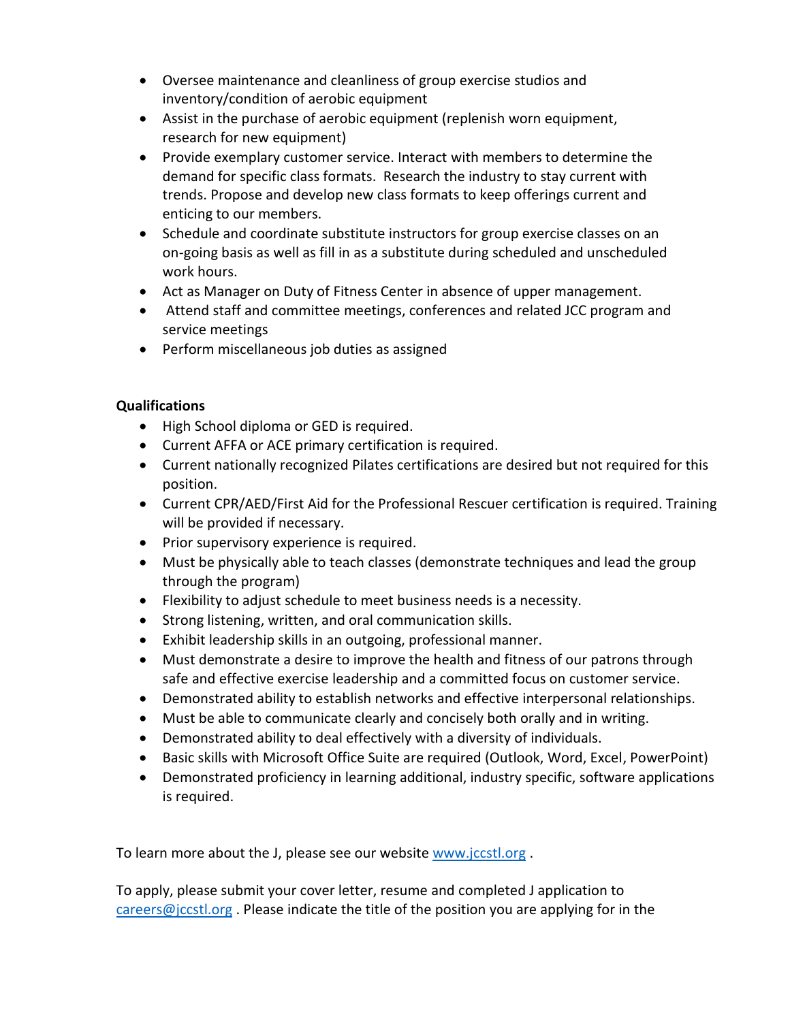- Oversee maintenance and cleanliness of group exercise studios and inventory/condition of aerobic equipment
- Assist in the purchase of aerobic equipment (replenish worn equipment, research for new equipment)
- Provide exemplary customer service. Interact with members to determine the demand for specific class formats. Research the industry to stay current with trends. Propose and develop new class formats to keep offerings current and enticing to our members.
- Schedule and coordinate substitute instructors for group exercise classes on an on-going basis as well as fill in as a substitute during scheduled and unscheduled work hours.
- Act as Manager on Duty of Fitness Center in absence of upper management.
- Attend staff and committee meetings, conferences and related JCC program and service meetings
- Perform miscellaneous job duties as assigned

## **Qualifications**

- High School diploma or GED is required.
- Current AFFA or ACE primary certification is required.
- Current nationally recognized Pilates certifications are desired but not required for this position.
- Current CPR/AED/First Aid for the Professional Rescuer certification is required. Training will be provided if necessary.
- Prior supervisory experience is required.
- Must be physically able to teach classes (demonstrate techniques and lead the group through the program)
- Flexibility to adjust schedule to meet business needs is a necessity.
- Strong listening, written, and oral communication skills.
- Exhibit leadership skills in an outgoing, professional manner.
- Must demonstrate a desire to improve the health and fitness of our patrons through safe and effective exercise leadership and a committed focus on customer service.
- Demonstrated ability to establish networks and effective interpersonal relationships.
- Must be able to communicate clearly and concisely both orally and in writing.
- Demonstrated ability to deal effectively with a diversity of individuals.
- Basic skills with Microsoft Office Suite are required (Outlook, Word, Excel, PowerPoint)
- Demonstrated proficiency in learning additional, industry specific, software applications is required.

To learn more about the J, please see our website [www.jccstl.org](http://www.jccstl.org/) .

To apply, please submit your cover letter, resume and completed J application to [careers@jccstl.org](mailto:careers@jccstl.org). Please indicate the title of the position you are applying for in the